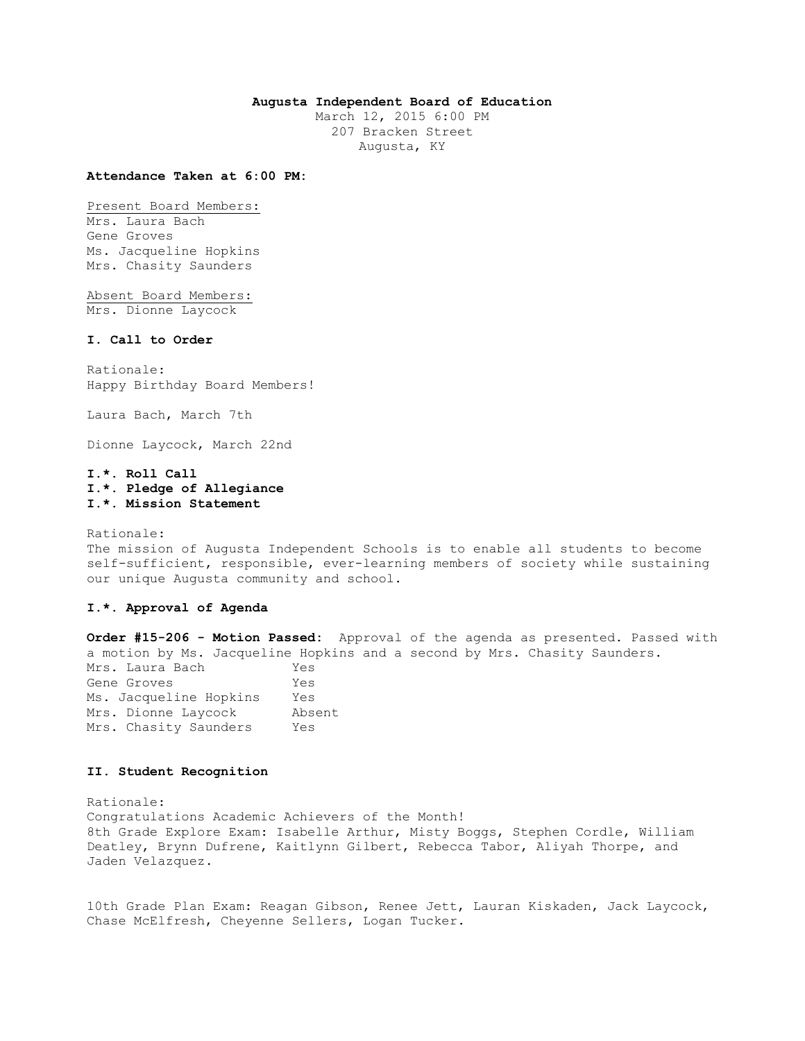## **Augusta Independent Board of Education**

March 12, 2015 6:00 PM 207 Bracken Street Augusta, KY

#### **Attendance Taken at 6:00 PM:**

Present Board Members: Mrs. Laura Bach Gene Groves Ms. Jacqueline Hopkins

Absent Board Members: Mrs. Dionne Laycock

Mrs. Chasity Saunders

#### **I. Call to Order**

Rationale: Happy Birthday Board Members!

Laura Bach, March 7th

Dionne Laycock, March 22nd

## **I.\*. Roll Call I.\*. Pledge of Allegiance I.\*. Mission Statement**

Rationale:

The mission of Augusta Independent Schools is to enable all students to become self-sufficient, responsible, ever-learning members of society while sustaining our unique Augusta community and school.

### **I.\*. Approval of Agenda**

**Order #15-206 - Motion Passed:** Approval of the agenda as presented. Passed with a motion by Ms. Jacqueline Hopkins and a second by Mrs. Chasity Saunders. Mrs. Laura Bach Yes Gene Groves Yes Ms. Jacqueline Hopkins Yes Mrs. Dionne Laycock Absent Mrs. Chasity Saunders Yes

#### **II. Student Recognition**

Rationale: Congratulations Academic Achievers of the Month! 8th Grade Explore Exam: Isabelle Arthur, Misty Boggs, Stephen Cordle, William Deatley, Brynn Dufrene, Kaitlynn Gilbert, Rebecca Tabor, Aliyah Thorpe, and Jaden Velazquez.

10th Grade Plan Exam: Reagan Gibson, Renee Jett, Lauran Kiskaden, Jack Laycock, Chase McElfresh, Cheyenne Sellers, Logan Tucker.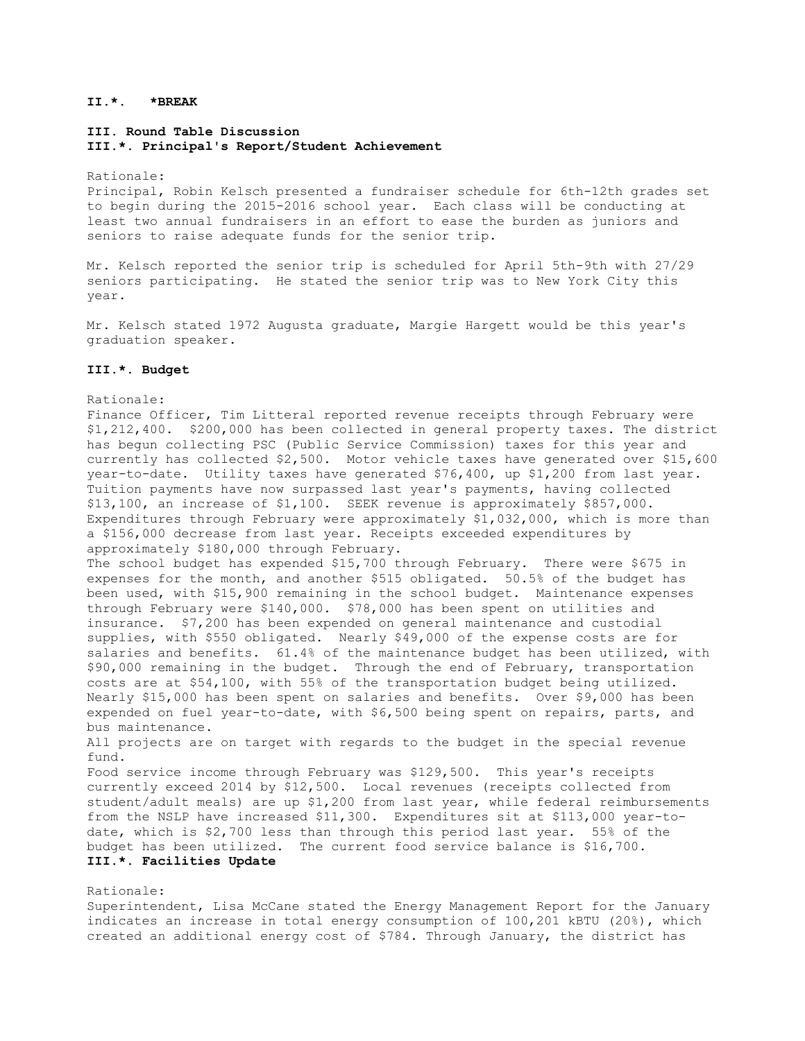## **II.\*. \*BREAK**

## **III. Round Table Discussion III.\*. Principal's Report/Student Achievement**

Rationale:

Principal, Robin Kelsch presented a fundraiser schedule for 6th-12th grades set to begin during the 2015-2016 school year. Each class will be conducting at least two annual fundraisers in an effort to ease the burden as juniors and seniors to raise adequate funds for the senior trip.

Mr. Kelsch reported the senior trip is scheduled for April 5th-9th with 27/29 seniors participating. He stated the senior trip was to New York City this year.

Mr. Kelsch stated 1972 Augusta graduate, Margie Hargett would be this year's graduation speaker.

#### **III.\*. Budget**

Rationale:

Finance Officer, Tim Litteral reported revenue receipts through February were \$1,212,400. \$200,000 has been collected in general property taxes. The district has begun collecting PSC (Public Service Commission) taxes for this year and currently has collected \$2,500. Motor vehicle taxes have generated over \$15,600 year-to-date. Utility taxes have generated \$76,400, up \$1,200 from last year. Tuition payments have now surpassed last year's payments, having collected \$13,100, an increase of \$1,100. SEEK revenue is approximately \$857,000. Expenditures through February were approximately \$1,032,000, which is more than a \$156,000 decrease from last year. Receipts exceeded expenditures by approximately \$180,000 through February.

The school budget has expended \$15,700 through February. There were \$675 in expenses for the month, and another \$515 obligated. 50.5% of the budget has been used, with \$15,900 remaining in the school budget. Maintenance expenses through February were \$140,000. \$78,000 has been spent on utilities and insurance. \$7,200 has been expended on general maintenance and custodial supplies, with \$550 obligated. Nearly \$49,000 of the expense costs are for salaries and benefits. 61.4% of the maintenance budget has been utilized, with \$90,000 remaining in the budget. Through the end of February, transportation costs are at \$54,100, with 55% of the transportation budget being utilized. Nearly \$15,000 has been spent on salaries and benefits. Over \$9,000 has been expended on fuel year-to-date, with \$6,500 being spent on repairs, parts, and bus maintenance.

All projects are on target with regards to the budget in the special revenue fund.

Food service income through February was \$129,500. This year's receipts currently exceed 2014 by \$12,500. Local revenues (receipts collected from student/adult meals) are up \$1,200 from last year, while federal reimbursements from the NSLP have increased \$11,300. Expenditures sit at \$113,000 year-todate, which is \$2,700 less than through this period last year. 55% of the budget has been utilized. The current food service balance is \$16,700. **III.\*. Facilities Update** 

#### Rationale:

Superintendent, Lisa McCane stated the Energy Management Report for the January indicates an increase in total energy consumption of 100,201 kBTU (20%), which created an additional energy cost of \$784. Through January, the district has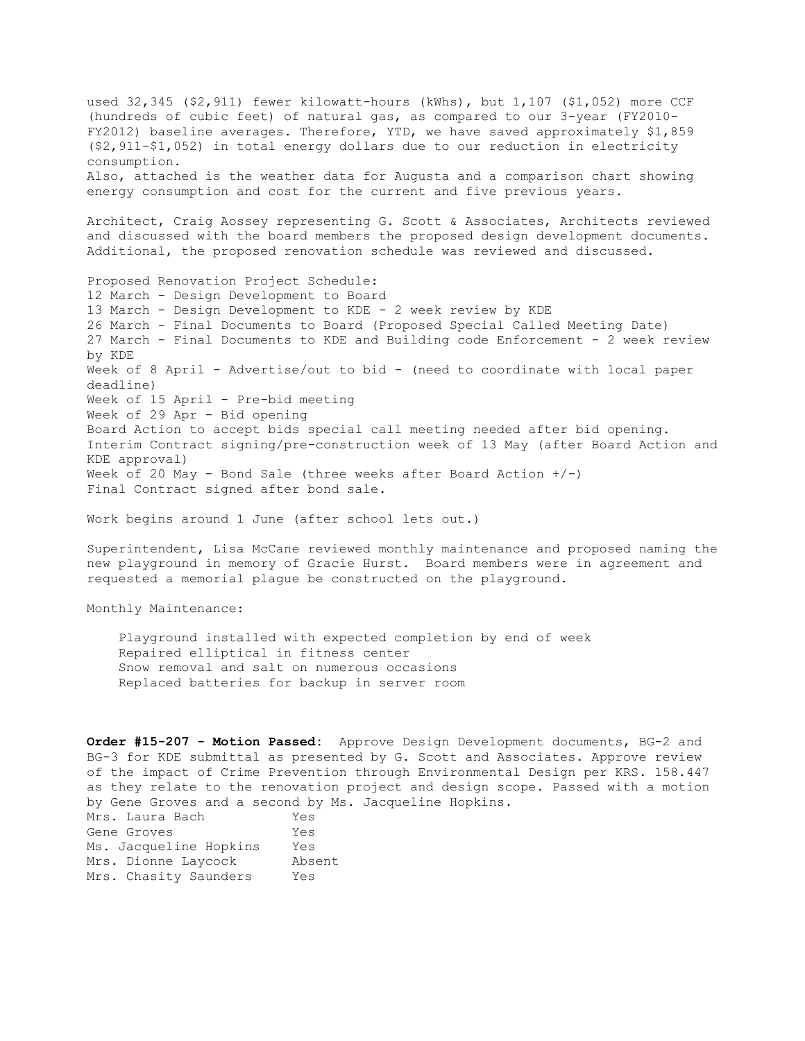used 32,345 (\$2,911) fewer kilowatt-hours (kWhs), but 1,107 (\$1,052) more CCF (hundreds of cubic feet) of natural gas, as compared to our 3-year (FY2010- FY2012) baseline averages. Therefore, YTD, we have saved approximately \$1,859 (\$2,911-\$1,052) in total energy dollars due to our reduction in electricity consumption. Also, attached is the weather data for Augusta and a comparison chart showing energy consumption and cost for the current and five previous years. Architect, Craig Aossey representing G. Scott & Associates, Architects reviewed and discussed with the board members the proposed design development documents. Additional, the proposed renovation schedule was reviewed and discussed. Proposed Renovation Project Schedule: 12 March - Design Development to Board 13 March - Design Development to KDE - 2 week review by KDE 26 March - Final Documents to Board (Proposed Special Called Meeting Date) 27 March - Final Documents to KDE and Building code Enforcement - 2 week review by KDE Week of 8 April - Advertise/out to bid - (need to coordinate with local paper deadline) Week of 15 April - Pre-bid meeting Week of 29 Apr - Bid opening Board Action to accept bids special call meeting needed after bid opening. Interim Contract signing/pre-construction week of 13 May (after Board Action and KDE approval) Week of 20 May - Bond Sale (three weeks after Board Action +/-) Final Contract signed after bond sale.

Work begins around 1 June (after school lets out.)

Superintendent, Lisa McCane reviewed monthly maintenance and proposed naming the new playground in memory of Gracie Hurst. Board members were in agreement and requested a memorial plague be constructed on the playground.

Monthly Maintenance:

 Playground installed with expected completion by end of week Repaired elliptical in fitness center Snow removal and salt on numerous occasions Replaced batteries for backup in server room

**Order #15-207 - Motion Passed:** Approve Design Development documents, BG-2 and BG-3 for KDE submittal as presented by G. Scott and Associates. Approve review of the impact of Crime Prevention through Environmental Design per KRS. 158.447 as they relate to the renovation project and design scope. Passed with a motion by Gene Groves and a second by Ms. Jacqueline Hopkins. Mrs. Laura Bach Yes Gene Groves Yes Ms. Jacqueline Hopkins Yes Mrs. Dionne Laycock Absent Mrs. Chasity Saunders Yes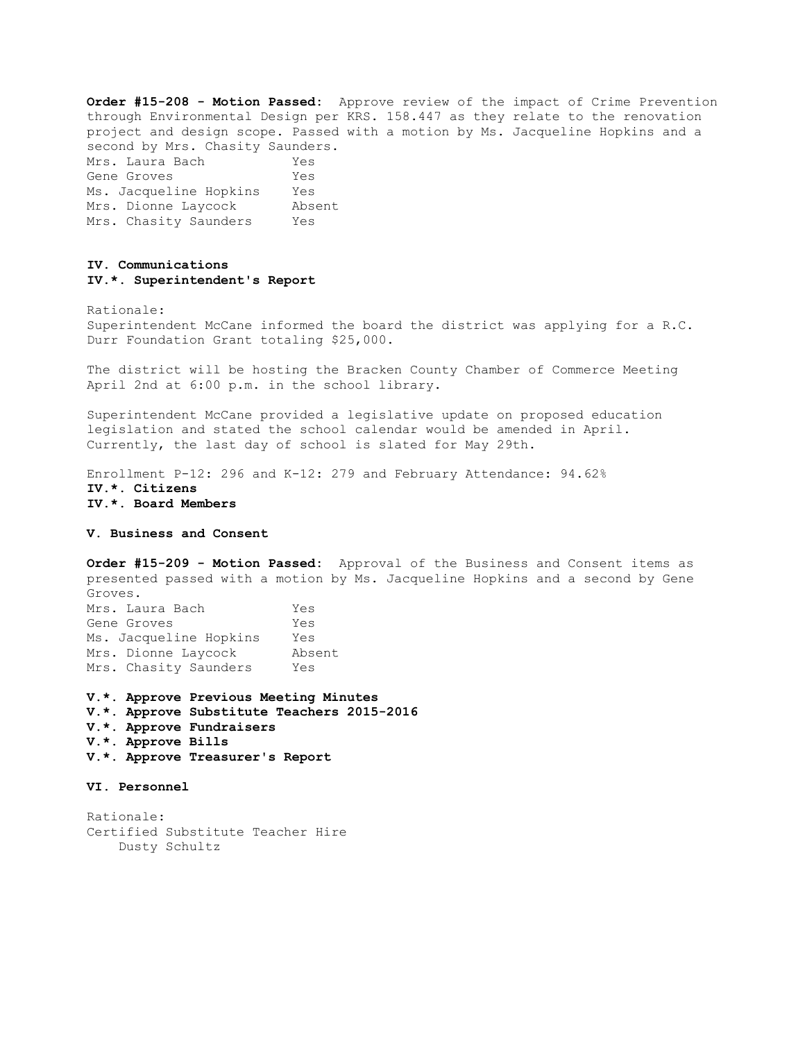**Order #15-208 - Motion Passed:** Approve review of the impact of Crime Prevention through Environmental Design per KRS. 158.447 as they relate to the renovation project and design scope. Passed with a motion by Ms. Jacqueline Hopkins and a second by Mrs. Chasity Saunders. Mrs. Laura Bach Yes Gene Groves Yes Ms. Jacqueline Hopkins Yes Mrs. Dionne Laycock Absent Mrs. Chasity Saunders Yes

#### **IV. Communications IV.\*. Superintendent's Report**

Rationale:

Superintendent McCane informed the board the district was applying for a R.C. Durr Foundation Grant totaling \$25,000.

The district will be hosting the Bracken County Chamber of Commerce Meeting April 2nd at 6:00 p.m. in the school library.

Superintendent McCane provided a legislative update on proposed education legislation and stated the school calendar would be amended in April. Currently, the last day of school is slated for May 29th.

Enrollment P-12: 296 and K-12: 279 and February Attendance: 94.62% **IV.\*. Citizens IV.\*. Board Members** 

#### **V. Business and Consent**

**Order #15-209 - Motion Passed:** Approval of the Business and Consent items as presented passed with a motion by Ms. Jacqueline Hopkins and a second by Gene Groves. Mrs. Laura Bach Yes

| MID. Daula Datii       | TED    |
|------------------------|--------|
| Gene Groves            | Yes    |
| Ms. Jacqueline Hopkins | Yes    |
| Mrs. Dionne Laycock    | Absent |
| Mrs. Chasity Saunders  | Yes    |

**V.\*. Approve Previous Meeting Minutes V.\*. Approve Substitute Teachers 2015-2016** 

- **V.\*. Approve Fundraisers**
- **V.\*. Approve Bills**
- **V.\*. Approve Treasurer's Report**

### **VI. Personnel**

Rationale: Certified Substitute Teacher Hire Dusty Schultz